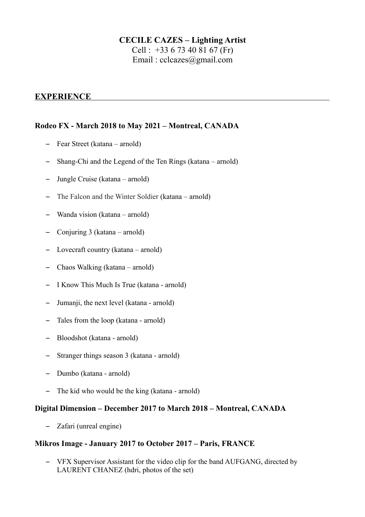## **CECILE CAZES – Lighting Artist**

Cell : +33 6 73 40 81 67 (Fr) Email : [cclcazes@gmail.com](mailto:cclcazes@gmail.com)

## **EXPERIENCE**

## **Rodeo FX - March 2018 to May 2021 – Montreal, CANADA**

- Fear Street (katana arnold)
- Shang-Chi and the Legend of the Ten Rings (katana arnold)
- Jungle Cruise (katana arnold)
- The Falcon and the Winter Soldier (katana arnold)
- Wanda vision (katana arnold)
- Conjuring 3 (katana arnold)
- Lovecraft country (katana arnold)
- Chaos Walking (katana arnold)
- I Know This Much Is True (katana arnold)
- Jumanji, the next level (katana arnold)
- Tales from the loop (katana arnold)
- Bloodshot (katana arnold)
- Stranger things season 3 (katana arnold)
- Dumbo (katana arnold)
- The kid who would be the king (katana arnold)

## **Digital Dimension – December 2017 to March 2018 – Montreal, CANADA**

– Zafari (unreal engine)

## **Mikros Image - January 2017 to October 2017 – Paris, FRANCE**

– VFX Supervisor Assistant for the video clip for the band AUFGANG, directed by LAURENT CHANEZ (hdri, photos of the set)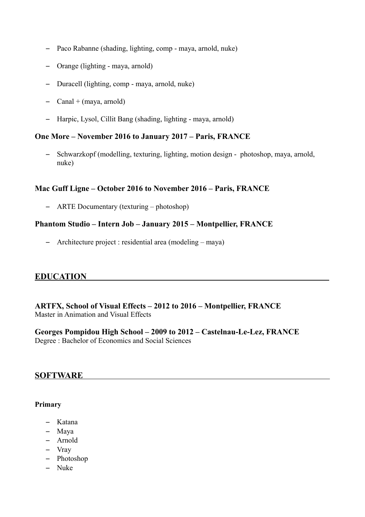- Paco Rabanne (shading, lighting, comp maya, arnold, nuke)
- Orange (lighting maya, arnold)
- Duracell (lighting, comp maya, arnold, nuke)
- $-$  Canal + (maya, arnold)
- Harpic, Lysol, Cillit Bang (shading, lighting maya, arnold)

#### **One More – November 2016 to January 2017 – Paris, FRANCE**

– Schwarzkopf (modelling, texturing, lighting, motion design - photoshop, maya, arnold, nuke)

#### **Mac Guff Ligne – October 2016 to November 2016 – Paris, FRANCE**

– ARTE Documentary (texturing – photoshop)

## **Phantom Studio – Intern Job – January 2015 – Montpellier, FRANCE**

– Architecture project : residential area (modeling – maya)

## **EDUCATION**

#### **ARTFX, School of Visual Effects – 2012 to 2016 – Montpellier, FRANCE** Master in Animation and Visual Effects

## **Georges Pompidou High School – 2009 to 2012 – Castelnau-Le-Lez, FRANCE**

Degree : Bachelor of Economics and Social Sciences

## **SOFTWARE**

#### **Primary**

- Katana
- Maya
- Arnold
- Vray
- Photoshop
- Nuke